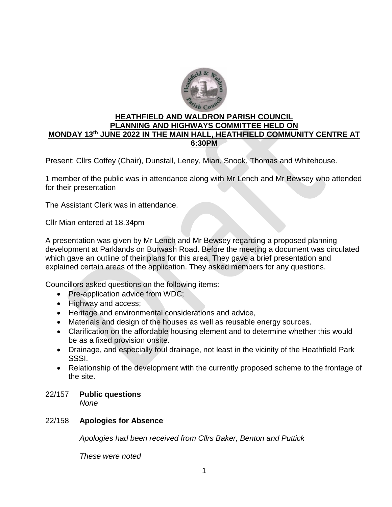

# **HEATHFIELD AND WALDRON PARISH COUNCIL PLANNING AND HIGHWAYS COMMITTEE HELD ON MONDAY 13 th JUNE 2022 IN THE MAIN HALL, HEATHFIELD COMMUNITY CENTRE AT 6:30PM**

Present: Cllrs Coffey (Chair), Dunstall, Leney, Mian, Snook, Thomas and Whitehouse.

1 member of the public was in attendance along with Mr Lench and Mr Bewsey who attended for their presentation

The Assistant Clerk was in attendance.

Cllr Mian entered at 18.34pm

A presentation was given by Mr Lench and Mr Bewsey regarding a proposed planning development at Parklands on Burwash Road. Before the meeting a document was circulated which gave an outline of their plans for this area. They gave a brief presentation and explained certain areas of the application. They asked members for any questions.

Councillors asked questions on the following items:

- Pre-application advice from WDC;
- Highway and access:
- Heritage and environmental considerations and advice,
- Materials and design of the houses as well as reusable energy sources.
- Clarification on the affordable housing element and to determine whether this would be as a fixed provision onsite.
- Drainage, and especially foul drainage, not least in the vicinity of the Heathfield Park SSSI.
- Relationship of the development with the currently proposed scheme to the frontage of the site.
- 22/157 **Public questions**

*None* 

# 22/158 **Apologies for Absence**

*Apologies had been received from Cllrs Baker, Benton and Puttick* 

*These were noted*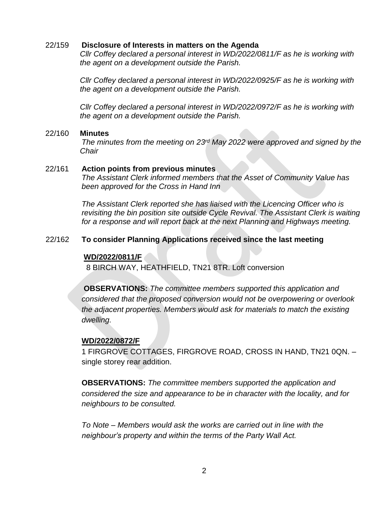#### 22/159 **Disclosure of Interests in matters on the Agenda**

*Cllr Coffey declared a personal interest in WD/2022/0811/F as he is working with the agent on a development outside the Parish.* 

*Cllr Coffey declared a personal interest in WD/2022/0925/F as he is working with the agent on a development outside the Parish.* 

*Cllr Coffey declared a personal interest in WD/2022/0972/F as he is working with the agent on a development outside the Parish.* 

#### 22/160 **Minutes**

*The minutes from the meeting on 23rd May 2022 were approved and signed by the Chair*

#### 22/161 **Action points from previous minutes**

*The Assistant Clerk informed members that the Asset of Community Value has been approved for the Cross in Hand Inn* 

*The Assistant Clerk reported she has liaised with the Licencing Officer who is revisiting the bin position site outside Cycle Revival. The Assistant Clerk is waiting*  for a response and will report back at the next Planning and Highways meeting.

### 22/162 **To consider Planning Applications received since the last meeting**

#### **WD/2022/0811/F**

8 BIRCH WAY, HEATHFIELD, TN21 8TR. Loft conversion

**OBSERVATIONS:** *The committee members supported this application and considered that the proposed conversion would not be overpowering or overlook the adjacent properties. Members would ask for materials to match the existing dwelling.* 

#### **WD/2022/0872/F**

1 FIRGROVE COTTAGES, FIRGROVE ROAD, CROSS IN HAND, TN21 0QN. – single storey rear addition.

**OBSERVATIONS:** *The committee members supported the application and considered the size and appearance to be in character with the locality, and for neighbours to be consulted.* 

*To Note – Members would ask the works are carried out in line with the neighbour's property and within the terms of the Party Wall Act.*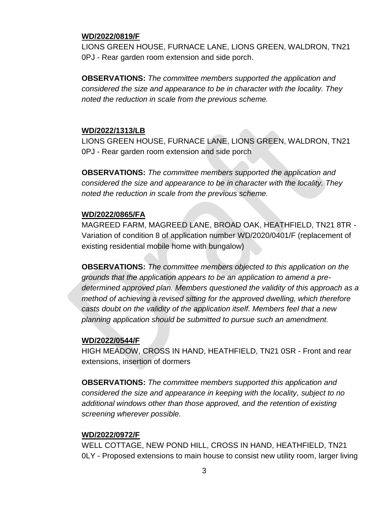## **WD/2022/0819/F**

LIONS GREEN HOUSE, FURNACE LANE, LIONS GREEN, WALDRON, TN21 0PJ - Rear garden room extension and side porch.

**OBSERVATIONS:** *The committee members supported the application and considered the size and appearance to be in character with the locality. They noted the reduction in scale from the previous scheme.* 

#### **WD/2022/1313/LB**

LIONS GREEN HOUSE, FURNACE LANE, LIONS GREEN, WALDRON, TN21 0PJ - Rear garden room extension and side porch

**OBSERVATIONS:** *The committee members supported the application and considered the size and appearance to be in character with the locality. They noted the reduction in scale from the previous scheme.* 

#### **WD/2022/0865/FA**

MAGREED FARM, MAGREED LANE, BROAD OAK, HEATHFIELD, TN21 8TR - Variation of condition 8 of application number WD/2020/0401/F (replacement of existing residential mobile home with bungalow)

**OBSERVATIONS:** *The committee members objected to this application on the grounds that the application appears to be an application to amend a predetermined approved plan. Members questioned the validity of this approach as a method of achieving a revised sitting for the approved dwelling, which therefore casts doubt on the validity of the application itself. Members feel that a new planning application should be submitted to pursue such an amendment.*

#### **WD/2022/0544/F**

HIGH MEADOW, CROSS IN HAND, HEATHFIELD, TN21 0SR - Front and rear extensions, insertion of dormers

**OBSERVATIONS:** *The committee members supported this application and considered the size and appearance in keeping with the locality, subject to no additional windows other than those approved, and the retention of existing screening wherever possible.* 

#### **WD/2022/0972/F**

WELL COTTAGE, NEW POND HILL, CROSS IN HAND, HEATHFIELD, TN21 0LY - Proposed extensions to main house to consist new utility room, larger living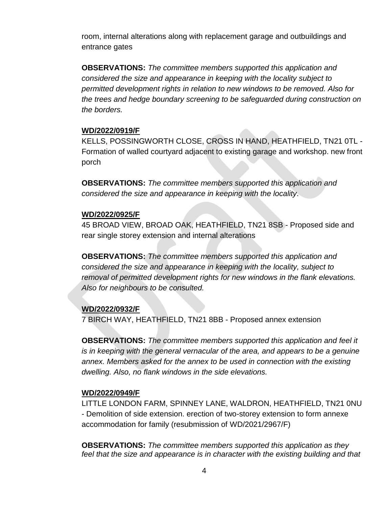room, internal alterations along with replacement garage and outbuildings and entrance gates

**OBSERVATIONS:** *The committee members supported this application and considered the size and appearance in keeping with the locality subject to permitted development rights in relation to new windows to be removed. Also for the trees and hedge boundary screening to be safeguarded during construction on the borders.*

### **WD/2022/0919/F**

KELLS, POSSINGWORTH CLOSE, CROSS IN HAND, HEATHFIELD, TN21 0TL - Formation of walled courtyard adjacent to existing garage and workshop. new front porch

**OBSERVATIONS:** *The committee members supported this application and considered the size and appearance in keeping with the locality.*

### **WD/2022/0925/F**

45 BROAD VIEW, BROAD OAK, HEATHFIELD, TN21 8SB - Proposed side and rear single storey extension and internal alterations

**OBSERVATIONS:** *The committee members supported this application and considered the size and appearance in keeping with the locality, subject to removal of permitted development rights for new windows in the flank elevations. Also for neighbours to be consulted.* 

# **WD/2022/0932/F**

7 BIRCH WAY, HEATHFIELD, TN21 8BB - Proposed annex extension

**OBSERVATIONS:** *The committee members supported this application and feel it is in keeping with the general vernacular of the area, and appears to be a genuine annex. Members asked for the annex to be used in connection with the existing dwelling. Also, no flank windows in the side elevations.* 

#### **WD/2022/0949/F**

LITTLE LONDON FARM, SPINNEY LANE, WALDRON, HEATHFIELD, TN21 0NU - Demolition of side extension. erection of two-storey extension to form annexe accommodation for family (resubmission of WD/2021/2967/F)

**OBSERVATIONS:** *The committee members supported this application as they*  feel that the size and appearance is in character with the existing building and that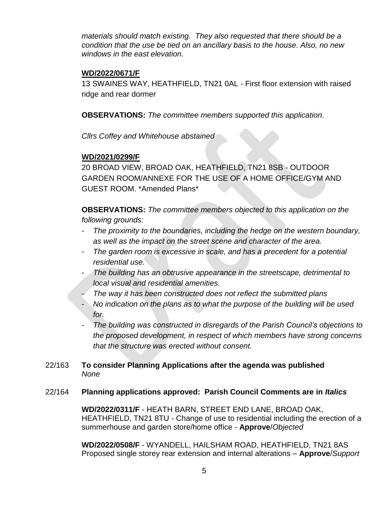*materials should match existing. They also requested that there should be a condition that the use be tied on an ancillary basis to the house. Also, no new windows in the east elevation.* 

## **WD/2022/0671/F**

13 SWAINES WAY, HEATHFIELD, TN21 0AL - First floor extension with raised ridge and rear dormer

**OBSERVATIONS:** *The committee members supported this application.*

*Cllrs Coffey and Whitehouse abstained* 

# **WD/2021/0299/F**

20 BROAD VIEW, BROAD OAK, HEATHFIELD, TN21 8SB - OUTDOOR GARDEN ROOM/ANNEXE FOR THE USE OF A HOME OFFICE/GYM AND GUEST ROOM. \*Amended Plans\*

**OBSERVATIONS:** *The committee members objected to this application on the following grounds:*

- *The proximity to the boundaries, including the hedge on the western boundary, as well as the impact on the street scene and character of the area.*
- *The garden room is excessive in scale, and has a precedent for a potential residential use.*
- *The building has an obtrusive appearance in the streetscape, detrimental to local visual and residential amenities.*
- *The way it has been constructed does not reflect the submitted plans*
- *No indication on the plans as to what the purpose of the building will be used for.*
- *The building was constructed in disregards of the Parish Council's objections to the proposed development, in respect of which members have strong concerns that the structure was erected without consent.*

# 22/163 **To consider Planning Applications after the agenda was published** *None*

# 22/164 **Planning applications approved: Parish Council Comments are in** *Italics*

**WD/2022/0311/F** - HEATH BARN, STREET END LANE, BROAD OAK, HEATHFIELD, TN21 8TU - Change of use to residential including the erection of a summerhouse and garden store/home office - **Approve**/*Objected*

**WD/2022/0508/F** - WYANDELL, HAILSHAM ROAD, HEATHFIELD, TN21 8AS Proposed single storey rear extension and internal alterations – **Approve**/*Support*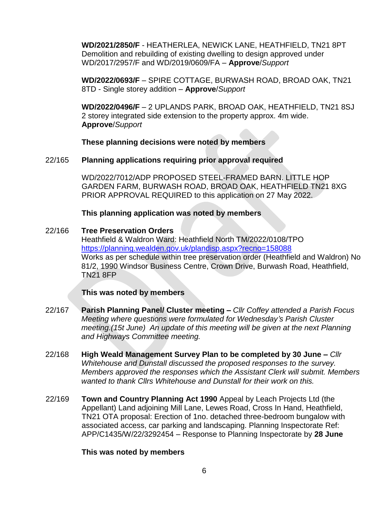**WD/2021/2850/F** - HEATHERLEA, NEWICK LANE, HEATHFIELD, TN21 8PT Demolition and rebuilding of existing dwelling to design approved under WD/2017/2957/F and WD/2019/0609/FA – **Approve**/*Support*

**WD/2022/0693/F** – SPIRE COTTAGE, BURWASH ROAD, BROAD OAK, TN21 8TD - Single storey addition – **Approve**/*Support*

**WD/2022/0496/F** – 2 UPLANDS PARK, BROAD OAK, HEATHFIELD, TN21 8SJ 2 storey integrated side extension to the property approx. 4m wide. **Approve**/*Support*

**These planning decisions were noted by members**

# 22/165 **Planning applications requiring prior approval required**

WD/2022/7012/ADP PROPOSED STEEL-FRAMED BARN. LITTLE HOP GARDEN FARM, BURWASH ROAD, BROAD OAK, HEATHFIELD TN21 8XG PRIOR APPROVAL REQUIRED to this application on 27 May 2022.

### **This planning application was noted by members**

### 22/166 **Tree Preservation Orders**

Heathfield & Waldron Ward: Heathfield North TM/2022/0108/TPO <https://planning.wealden.gov.uk/plandisp.aspx?recno=158088> Works as per schedule within tree preservation order (Heathfield and Waldron) No 81/2, 1990 Windsor Business Centre, Crown Drive, Burwash Road, Heathfield, TN21 8FP

# **This was noted by members**

- 22/167 **Parish Planning Panel/ Cluster meeting –** *Cllr Coffey attended a Parish Focus Meeting where questions were formulated for Wednesday's Parish Cluster meeting.(15t June) An update of this meeting will be given at the next Planning and Highways Committee meeting.*
- 22/168 **High Weald Management Survey Plan to be completed by 30 June –** *Cllr Whitehouse and Dunstall discussed the proposed responses to the survey. Members approved the responses which the Assistant Clerk will submit. Members wanted to thank Cllrs Whitehouse and Dunstall for their work on this.*
- 22/169 **Town and Country Planning Act 1990** Appeal by Leach Projects Ltd (the Appellant) Land adjoining Mill Lane, Lewes Road, Cross In Hand, Heathfield, TN21 OTA proposal: Erection of 1no. detached three-bedroom bungalow with associated access, car parking and landscaping. Planning Inspectorate Ref: APP/C1435/W/22/3292454 – Response to Planning Inspectorate by **28 June**

#### **This was noted by members**